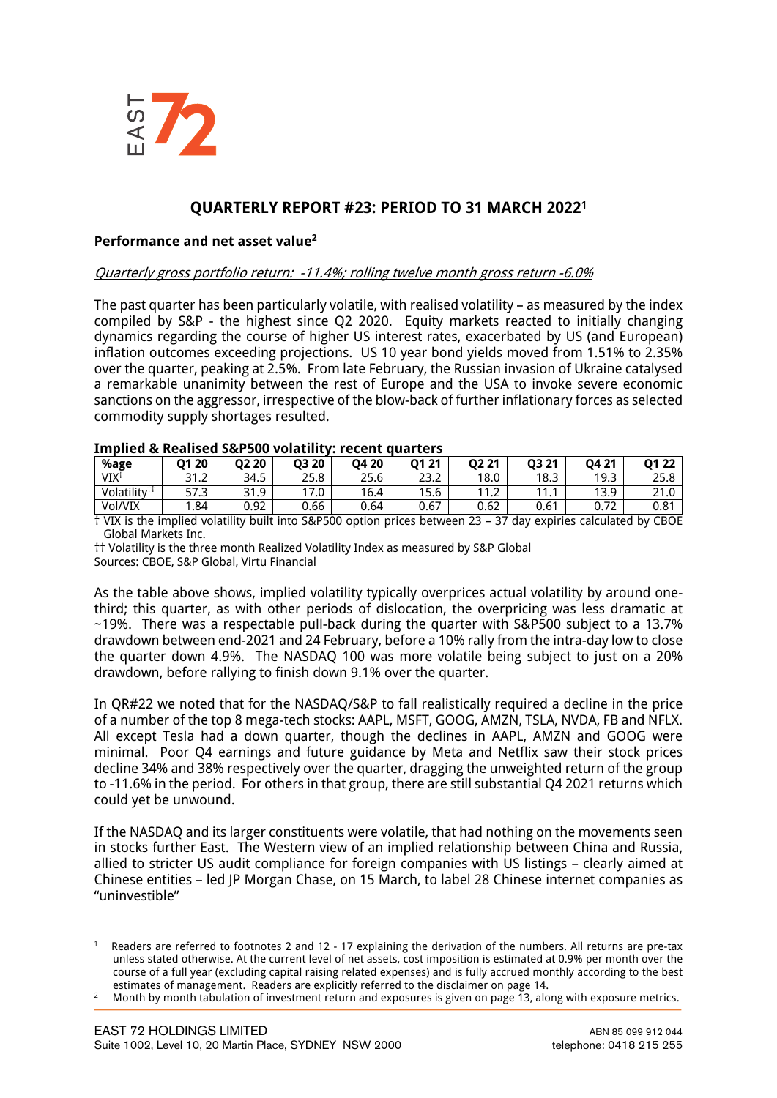

# **QUARTERLY REPORT #23: PERIOD TO 31 MARCH 20221**

#### **Performance and net asset value2**

#### Quarterly gross portfolio return: -11.4%; rolling twelve month gross return -6.0%

The past quarter has been particularly volatile, with realised volatility – as measured by the index compiled by S&P - the highest since Q2 2020. Equity markets reacted to initially changing dynamics regarding the course of higher US interest rates, exacerbated by US (and European) inflation outcomes exceeding projections. US 10 year bond yields moved from 1.51% to 2.35% over the quarter, peaking at 2.5%. From late February, the Russian invasion of Ukraine catalysed a remarkable unanimity between the rest of Europe and the USA to invoke severe economic sanctions on the aggressor, irrespective of the blow-back of further inflationary forces as selected commodity supply shortages resulted.

| THING & REALISED SALSON AND HILLY: LEFELL AND LETS |               |       |       |       |             |       |       |               |      |
|----------------------------------------------------|---------------|-------|-------|-------|-------------|-------|-------|---------------|------|
| %age                                               | 01 20         | O2 20 | 03 20 | 04 20 | 01 21       | 02 21 | 03 21 | 04 21         | 0122 |
| VIX <sup>1</sup>                                   | つ1<br>ے ، ا ح | 34.5  | 25.8  | 25.6  | າລາ<br>25.2 | 18.0  | 18.3  | 19.3          | 25.8 |
| Volatility <sup>††</sup>                           | 57.3          | 31.9  | 17.0  | 16.4  | 15.6        | 11.2  | 111   | 13.9          | າາ ດ |
| Vol/VIX                                            | 1.84          | 0.92  | 0.66  | 0.64  | 0.67        | 0.62  | 0.61  | $\mathcal{L}$ | 0.81 |

#### **Implied & Realised S&P500 volatility: recent quarters**

† VIX is the implied volatility built into S&P500 option prices between 23 – 37 day expiries calculated by CBOE Global Markets Inc.

†† Volatility is the three month Realized Volatility Index as measured by S&P Global Sources: CBOE, S&P Global, Virtu Financial

As the table above shows, implied volatility typically overprices actual volatility by around onethird; this quarter, as with other periods of dislocation, the overpricing was less dramatic at ~19%. There was a respectable pull-back during the quarter with S&P500 subject to a 13.7% drawdown between end-2021 and 24 February, before a 10% rally from the intra-day low to close the quarter down 4.9%. The NASDAQ 100 was more volatile being subject to just on a 20% drawdown, before rallying to finish down 9.1% over the quarter.

In QR#22 we noted that for the NASDAQ/S&P to fall realistically required a decline in the price of a number of the top 8 mega-tech stocks: AAPL, MSFT, GOOG, AMZN, TSLA, NVDA, FB and NFLX. All except Tesla had a down quarter, though the declines in AAPL, AMZN and GOOG were minimal. Poor Q4 earnings and future guidance by Meta and Netflix saw their stock prices decline 34% and 38% respectively over the quarter, dragging the unweighted return of the group to -11.6% in the period. For others in that group, there are still substantial Q4 2021 returns which could yet be unwound.

If the NASDAQ and its larger constituents were volatile, that had nothing on the movements seen in stocks further East. The Western view of an implied relationship between China and Russia, allied to stricter US audit compliance for foreign companies with US listings – clearly aimed at Chinese entities – led JP Morgan Chase, on 15 March, to label 28 Chinese internet companies as "uninvestible"

Readers are referred to footnotes 2 and 12 - 17 explaining the derivation of the numbers. All returns are pre-tax unless stated otherwise. At the current level of net assets, cost imposition is estimated at 0.9% per month over the course of a full year (excluding capital raising related expenses) and is fully accrued monthly according to the best

estimates of management. Readers are explicitly referred to the disclaimer on page 14.<br>Month by month tabulation of investment return and exposures is given on page 13, along with exposure metrics.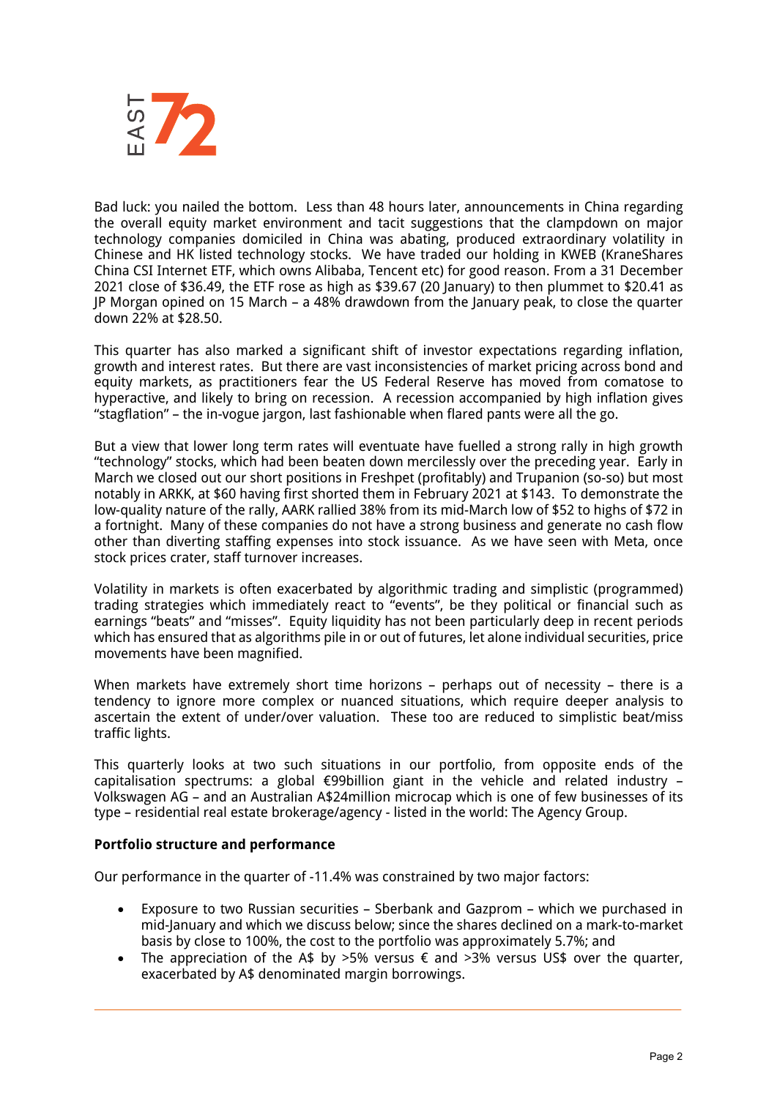

Bad luck: you nailed the bottom. Less than 48 hours later, announcements in China regarding the overall equity market environment and tacit suggestions that the clampdown on major technology companies domiciled in China was abating, produced extraordinary volatility in Chinese and HK listed technology stocks. We have traded our holding in KWEB (KraneShares China CSI Internet ETF, which owns Alibaba, Tencent etc) for good reason. From a 31 December 2021 close of \$36.49, the ETF rose as high as \$39.67 (20 January) to then plummet to \$20.41 as JP Morgan opined on 15 March – a 48% drawdown from the January peak, to close the quarter down 22% at \$28.50.

This quarter has also marked a significant shift of investor expectations regarding inflation, growth and interest rates. But there are vast inconsistencies of market pricing across bond and equity markets, as practitioners fear the US Federal Reserve has moved from comatose to hyperactive, and likely to bring on recession. A recession accompanied by high inflation gives "stagflation" – the in-vogue jargon, last fashionable when flared pants were all the go.

But a view that lower long term rates will eventuate have fuelled a strong rally in high growth "technology" stocks, which had been beaten down mercilessly over the preceding year. Early in March we closed out our short positions in Freshpet (profitably) and Trupanion (so-so) but most notably in ARKK, at \$60 having first shorted them in February 2021 at \$143. To demonstrate the low-quality nature of the rally, AARK rallied 38% from its mid-March low of \$52 to highs of \$72 in a fortnight. Many of these companies do not have a strong business and generate no cash flow other than diverting staffing expenses into stock issuance. As we have seen with Meta, once stock prices crater, staff turnover increases.

Volatility in markets is often exacerbated by algorithmic trading and simplistic (programmed) trading strategies which immediately react to "events", be they political or financial such as earnings "beats" and "misses". Equity liquidity has not been particularly deep in recent periods which has ensured that as algorithms pile in or out of futures, let alone individual securities, price movements have been magnified.

When markets have extremely short time horizons - perhaps out of necessity - there is a tendency to ignore more complex or nuanced situations, which require deeper analysis to ascertain the extent of under/over valuation. These too are reduced to simplistic beat/miss traffic lights.

This quarterly looks at two such situations in our portfolio, from opposite ends of the capitalisation spectrums: a global €99billion giant in the vehicle and related industry – Volkswagen AG – and an Australian A\$24million microcap which is one of few businesses of its type – residential real estate brokerage/agency - listed in the world: The Agency Group.

## **Portfolio structure and performance**

Our performance in the quarter of -11.4% was constrained by two major factors:

- Exposure to two Russian securities Sberbank and Gazprom which we purchased in mid-January and which we discuss below; since the shares declined on a mark-to-market basis by close to 100%, the cost to the portfolio was approximately 5.7%; and
- The appreciation of the A\$ by >5% versus  $\epsilon$  and >3% versus US\$ over the quarter, exacerbated by A\$ denominated margin borrowings.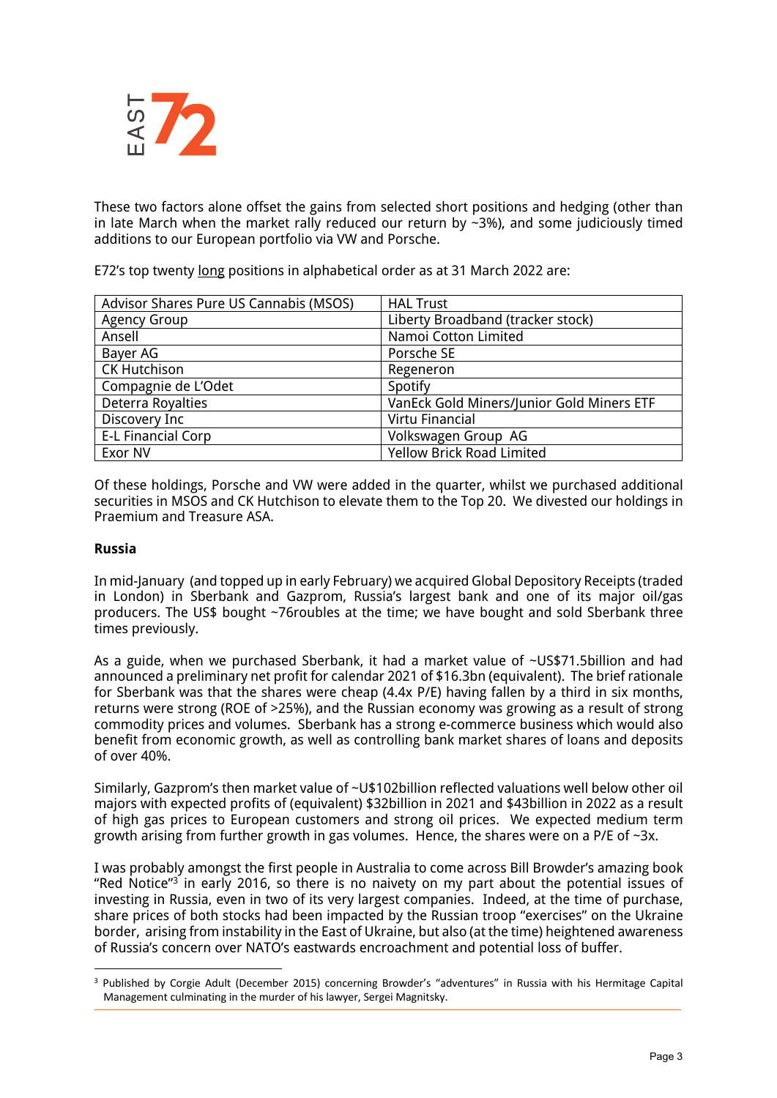

These two factors alone offset the gains from selected short positions and hedging (other than in late March when the market rally reduced our return by  $\sim$ 3%), and some judiciously timed additions to our European portfolio via VW and Porsche.

E72's top twenty long positions in alphabetical order as at 31 March 2022 are:

| Advisor Shares Pure US Cannabis (MSOS) | <b>HAL Trust</b>                          |  |  |  |
|----------------------------------------|-------------------------------------------|--|--|--|
| <b>Agency Group</b>                    | Liberty Broadband (tracker stock)         |  |  |  |
| Ansell                                 | Namoi Cotton Limited                      |  |  |  |
| Bayer AG                               | Porsche SE                                |  |  |  |
| <b>CK Hutchison</b>                    | Regeneron                                 |  |  |  |
| Compagnie de L'Odet                    | Spotify                                   |  |  |  |
| Deterra Royalties                      | VanEck Gold Miners/Junior Gold Miners ETF |  |  |  |
| Discovery Inc                          | Virtu Financial                           |  |  |  |
| <b>E-L Financial Corp</b>              | Volkswagen Group AG                       |  |  |  |
| Exor NV                                | <b>Yellow Brick Road Limited</b>          |  |  |  |

Of these holdings, Porsche and VW were added in the quarter, whilst we purchased additional securities in MSOS and CK Hutchison to elevate them to the Top 20. We divested our holdings in Praemium and Treasure ASA.

# **Russia**

In mid-January (and topped up in early February) we acquired Global Depository Receipts (traded in London) in Sberbank and Gazprom, Russia's largest bank and one of its major oil/gas producers. The US\$ bought ~76roubles at the time; we have bought and sold Sberbank three times previously.

As a guide, when we purchased Sberbank, it had a market value of ~US\$71.5billion and had announced a preliminary net profit for calendar 2021 of \$16.3bn (equivalent). The brief rationale for Sberbank was that the shares were cheap (4.4x P/E) having fallen by a third in six months, returns were strong (ROE of >25%), and the Russian economy was growing as a result of strong commodity prices and volumes. Sberbank has a strong e-commerce business which would also benefit from economic growth, as well as controlling bank market shares of loans and deposits of over 40%.

Similarly, Gazprom's then market value of ~U\$102billion reflected valuations well below other oil majors with expected profits of (equivalent) \$32billion in 2021 and \$43billion in 2022 as a result of high gas prices to European customers and strong oil prices. We expected medium term growth arising from further growth in gas volumes. Hence, the shares were on a P/E of  $\sim 3x$ .

I was probably amongst the first people in Australia to come across Bill Browder's amazing book "Red Notice" $3$  in early 2016, so there is no naivety on my part about the potential issues of investing in Russia, even in two of its very largest companies. Indeed, at the time of purchase, share prices of both stocks had been impacted by the Russian troop "exercises" on the Ukraine border, arising from instability in the East of Ukraine, but also (at the time) heightened awareness of Russia's concern over NATO's eastwards encroachment and potential loss of buffer.

<sup>3</sup> Published by Corgie Adult (December 2015) concerning Browder's "adventures" in Russia with his Hermitage Capital Management culminating in the murder of his lawyer, Sergei Magnitsky.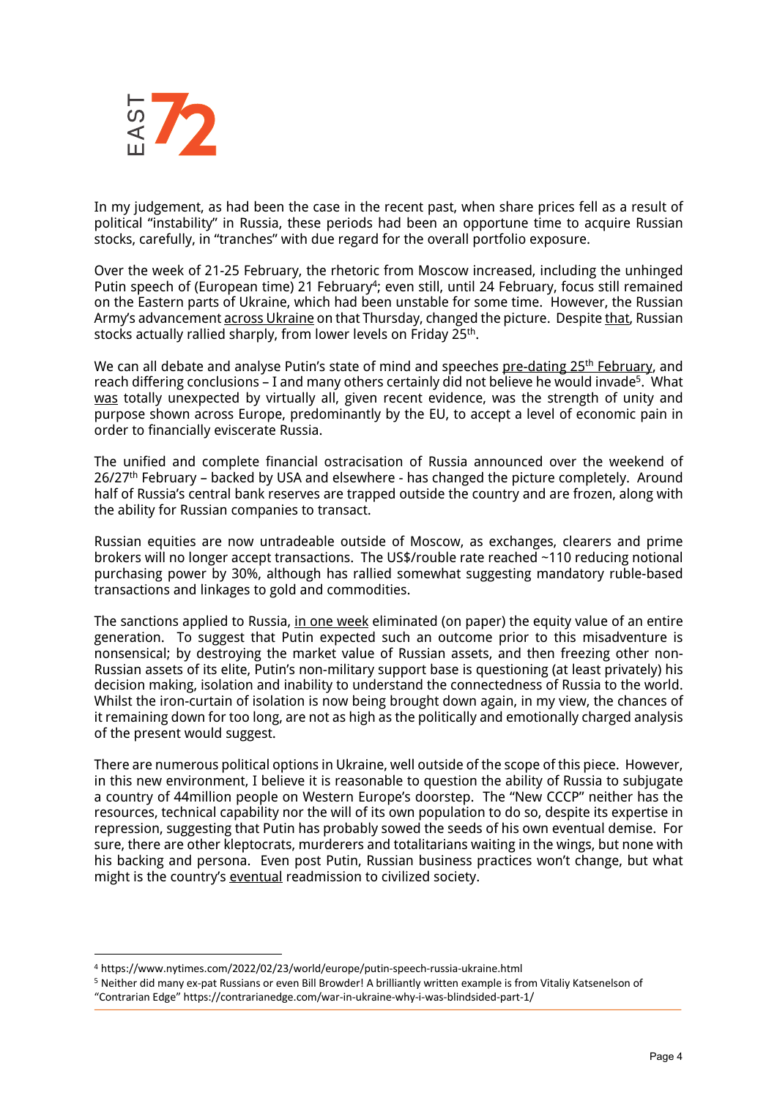

In my judgement, as had been the case in the recent past, when share prices fell as a result of political "instability" in Russia, these periods had been an opportune time to acquire Russian stocks, carefully, in "tranches" with due regard for the overall portfolio exposure.

Over the week of 21-25 February, the rhetoric from Moscow increased, including the unhinged Putin speech of (European time) 21 February<sup>4</sup>; even still, until 24 February, focus still remained on the Eastern parts of Ukraine, which had been unstable for some time. However, the Russian Army's advancement across Ukraine on that Thursday, changed the picture. Despite that, Russian stocks actually rallied sharply, from lower levels on Friday 25<sup>th</sup>.

We can all debate and analyse Putin's state of mind and speeches pre-dating 25<sup>th</sup> February, and reach differing conclusions – I and many others certainly did not believe he would invade5. What was totally unexpected by virtually all, given recent evidence, was the strength of unity and purpose shown across Europe, predominantly by the EU, to accept a level of economic pain in order to financially eviscerate Russia.

The unified and complete financial ostracisation of Russia announced over the weekend of 26/27<sup>th</sup> February – backed by USA and elsewhere - has changed the picture completely. Around half of Russia's central bank reserves are trapped outside the country and are frozen, along with the ability for Russian companies to transact.

Russian equities are now untradeable outside of Moscow, as exchanges, clearers and prime brokers will no longer accept transactions. The US\$/rouble rate reached ~110 reducing notional purchasing power by 30%, although has rallied somewhat suggesting mandatory ruble-based transactions and linkages to gold and commodities.

The sanctions applied to Russia, in one week eliminated (on paper) the equity value of an entire generation. To suggest that Putin expected such an outcome prior to this misadventure is nonsensical; by destroying the market value of Russian assets, and then freezing other non-Russian assets of its elite, Putin's non-military support base is questioning (at least privately) his decision making, isolation and inability to understand the connectedness of Russia to the world. Whilst the iron-curtain of isolation is now being brought down again, in my view, the chances of it remaining down for too long, are not as high as the politically and emotionally charged analysis of the present would suggest.

There are numerous political options in Ukraine, well outside of the scope of this piece. However, in this new environment, I believe it is reasonable to question the ability of Russia to subjugate a country of 44million people on Western Europe's doorstep. The "New CCCP" neither has the resources, technical capability nor the will of its own population to do so, despite its expertise in repression, suggesting that Putin has probably sowed the seeds of his own eventual demise. For sure, there are other kleptocrats, murderers and totalitarians waiting in the wings, but none with his backing and persona. Even post Putin, Russian business practices won't change, but what might is the country's eventual readmission to civilized society.

<sup>4</sup> https://www.nytimes.com/2022/02/23/world/europe/putin-speech-russia-ukraine.html

<sup>5</sup> Neither did many ex-pat Russians or even Bill Browder! A brilliantly written example is from Vitaliy Katsenelson of

<sup>&</sup>quot;Contrarian Edge" https://contrarianedge.com/war-in-ukraine-why-i-was-blindsided-part-1/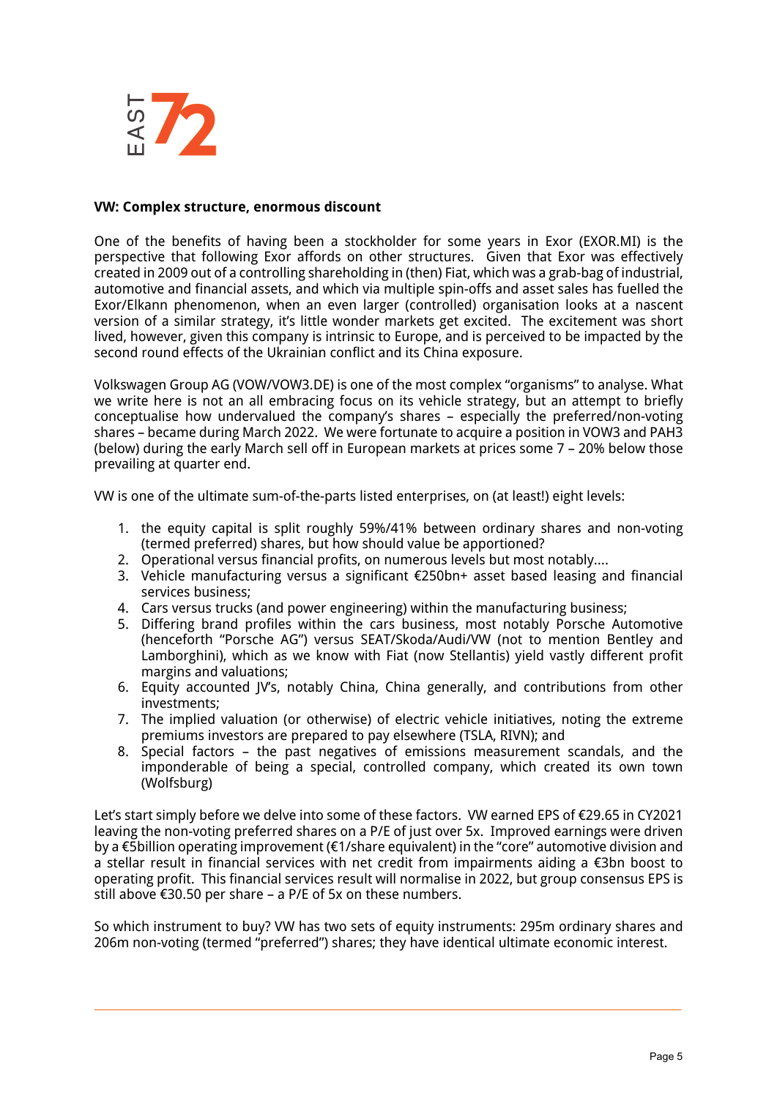

#### **VW: Complex structure, enormous discount**

One of the benefits of having been a stockholder for some years in Exor (EXOR.MI) is the perspective that following Exor affords on other structures. Given that Exor was effectively created in 2009 out of a controlling shareholding in (then) Fiat, which was a grab-bag of industrial, automotive and financial assets, and which via multiple spin-offs and asset sales has fuelled the Exor/Elkann phenomenon, when an even larger (controlled) organisation looks at a nascent version of a similar strategy, it's little wonder markets get excited. The excitement was short lived, however, given this company is intrinsic to Europe, and is perceived to be impacted by the second round effects of the Ukrainian conflict and its China exposure.

Volkswagen Group AG (VOW/VOW3.DE) is one of the most complex "organisms" to analyse. What we write here is not an all embracing focus on its vehicle strategy, but an attempt to briefly conceptualise how undervalued the company's shares – especially the preferred/non-voting shares – became during March 2022. We were fortunate to acquire a position in VOW3 and PAH3 (below) during the early March sell off in European markets at prices some 7 – 20% below those prevailing at quarter end.

VW is one of the ultimate sum-of-the-parts listed enterprises, on (at least!) eight levels:

- 1. the equity capital is split roughly 59%/41% between ordinary shares and non-voting (termed preferred) shares, but how should value be apportioned?
- 2. Operational versus financial profits, on numerous levels but most notably….
- 3. Vehicle manufacturing versus a significant €250bn+ asset based leasing and financial services business;
- 4. Cars versus trucks (and power engineering) within the manufacturing business;
- 5. Differing brand profiles within the cars business, most notably Porsche Automotive (henceforth "Porsche AG") versus SEAT/Skoda/Audi/VW (not to mention Bentley and Lamborghini), which as we know with Fiat (now Stellantis) yield vastly different profit margins and valuations;
- 6. Equity accounted JV's, notably China, China generally, and contributions from other investments;
- 7. The implied valuation (or otherwise) of electric vehicle initiatives, noting the extreme premiums investors are prepared to pay elsewhere (TSLA, RIVN); and
- 8. Special factors the past negatives of emissions measurement scandals, and the imponderable of being a special, controlled company, which created its own town (Wolfsburg)

Let's start simply before we delve into some of these factors. VW earned EPS of €29.65 in CY2021 leaving the non-voting preferred shares on a P/E of just over 5x. Improved earnings were driven by a €5billion operating improvement (€1/share equivalent) in the "core" automotive division and a stellar result in financial services with net credit from impairments aiding a €3bn boost to operating profit. This financial services result will normalise in 2022, but group consensus EPS is still above €30.50 per share – a P/E of 5x on these numbers.

So which instrument to buy? VW has two sets of equity instruments: 295m ordinary shares and 206m non-voting (termed "preferred") shares; they have identical ultimate economic interest.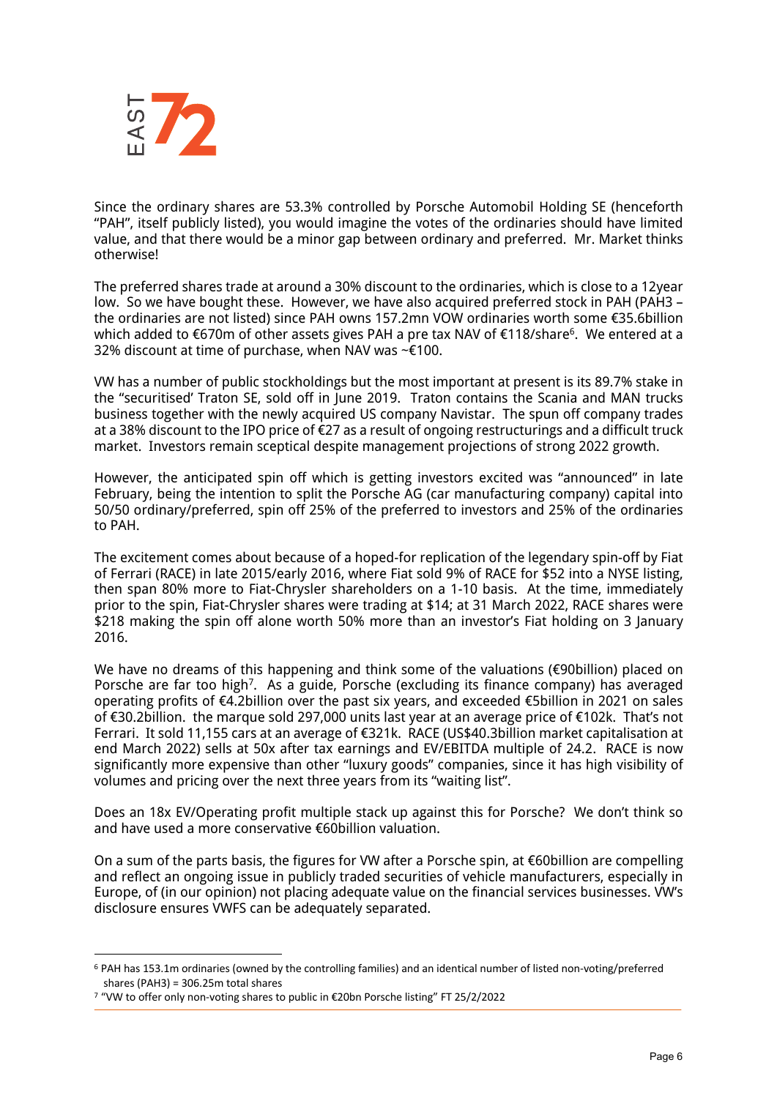

Since the ordinary shares are 53.3% controlled by Porsche Automobil Holding SE (henceforth "PAH", itself publicly listed), you would imagine the votes of the ordinaries should have limited value, and that there would be a minor gap between ordinary and preferred. Mr. Market thinks otherwise!

The preferred shares trade at around a 30% discount to the ordinaries, which is close to a 12year low. So we have bought these. However, we have also acquired preferred stock in PAH (PAH3 – the ordinaries are not listed) since PAH owns 157.2mn VOW ordinaries worth some €35.6billion which added to €670m of other assets gives PAH a pre tax NAV of €118/share<sup>6</sup>. We entered at a 32% discount at time of purchase, when NAV was ~€100.

VW has a number of public stockholdings but the most important at present is its 89.7% stake in the "securitised' Traton SE, sold off in June 2019. Traton contains the Scania and MAN trucks business together with the newly acquired US company Navistar. The spun off company trades at a 38% discount to the IPO price of  $\epsilon$ 27 as a result of ongoing restructurings and a difficult truck market. Investors remain sceptical despite management projections of strong 2022 growth.

However, the anticipated spin off which is getting investors excited was "announced" in late February, being the intention to split the Porsche AG (car manufacturing company) capital into 50/50 ordinary/preferred, spin off 25% of the preferred to investors and 25% of the ordinaries to PAH.

The excitement comes about because of a hoped-for replication of the legendary spin-off by Fiat of Ferrari (RACE) in late 2015/early 2016, where Fiat sold 9% of RACE for \$52 into a NYSE listing, then span 80% more to Fiat-Chrysler shareholders on a 1-10 basis. At the time, immediately prior to the spin, Fiat-Chrysler shares were trading at \$14; at 31 March 2022, RACE shares were \$218 making the spin off alone worth 50% more than an investor's Fiat holding on 3 January 2016.

We have no dreams of this happening and think some of the valuations (€90billion) placed on Porsche are far too high<sup>7</sup>. As a guide, Porsche (excluding its finance company) has averaged operating profits of €4.2billion over the past six years, and exceeded €5billion in 2021 on sales of €30.2billion. the marque sold 297,000 units last year at an average price of €102k. That's not Ferrari. It sold 11,155 cars at an average of €321k. RACE (US\$40.3billion market capitalisation at end March 2022) sells at 50x after tax earnings and EV/EBITDA multiple of 24.2. RACE is now significantly more expensive than other "luxury goods" companies, since it has high visibility of volumes and pricing over the next three years from its "waiting list".

Does an 18x EV/Operating profit multiple stack up against this for Porsche? We don't think so and have used a more conservative €60billion valuation.

On a sum of the parts basis, the figures for VW after a Porsche spin, at €60billion are compelling and reflect an ongoing issue in publicly traded securities of vehicle manufacturers, especially in Europe, of (in our opinion) not placing adequate value on the financial services businesses. VW's disclosure ensures VWFS can be adequately separated.

<sup>6</sup> PAH has 153.1m ordinaries (owned by the controlling families) and an identical number of listed non-voting/preferred shares (PAH3) = 306.25m total shares

<sup>7</sup> "VW to offer only non-voting shares to public in €20bn Porsche listing" FT 25/2/2022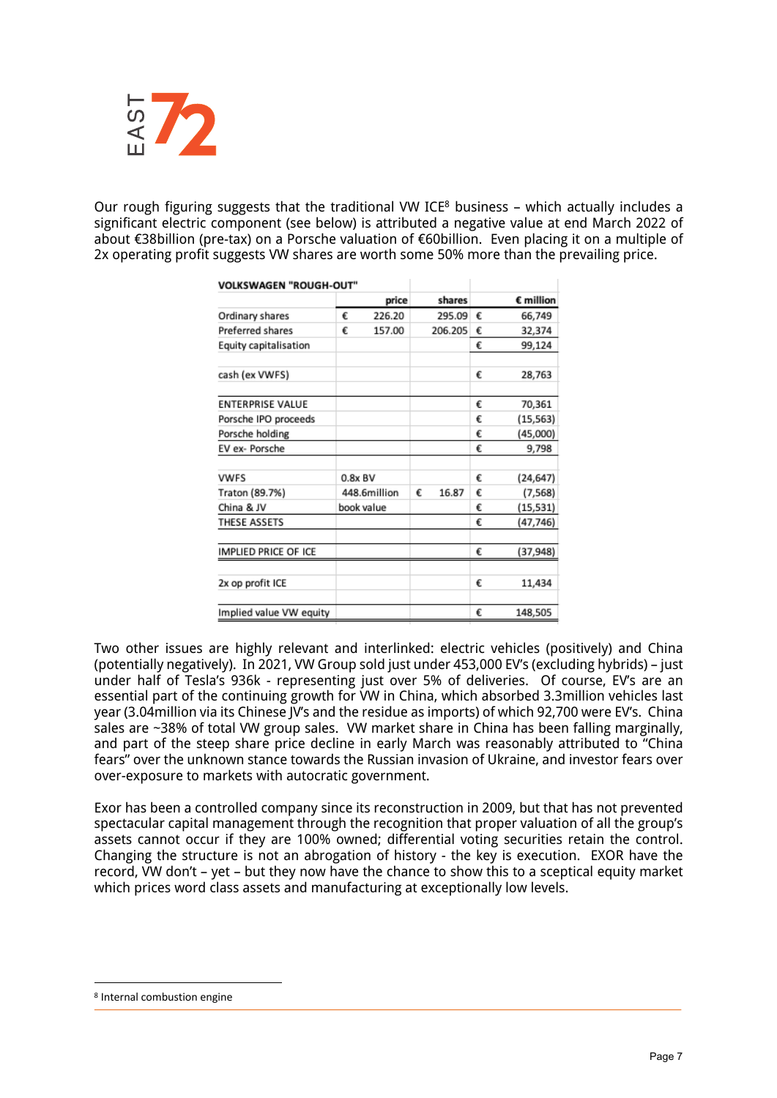

Our rough figuring suggests that the traditional VW ICE<sup>8</sup> business – which actually includes a significant electric component (see below) is attributed a negative value at end March 2022 of about €38billion (pre-tax) on a Porsche valuation of €60billion. Even placing it on a multiple of 2x operating profit suggests VW shares are worth some 50% more than the prevailing price.

| <b>VOLKSWAGEN "ROUGH-OUT"</b> |              |            |   |         |   |                    |
|-------------------------------|--------------|------------|---|---------|---|--------------------|
|                               |              | price      |   | shares  |   | $\epsilon$ million |
| Ordinary shares               | €            | 226.20     |   | 295.09  | € | 66,749             |
| <b>Preferred shares</b>       | €            | 157.00     |   | 206.205 | € | 32,374             |
| Equity capitalisation         |              |            |   |         | € | 99,124             |
| cash (ex VWFS)                |              |            |   |         | € | 28,763             |
| <b>ENTERPRISE VALUE</b>       |              |            |   |         | € | 70,361             |
| Porsche IPO proceeds          |              |            |   |         | € | (15, 563)          |
| Porsche holding               |              |            |   |         | € | (45,000)           |
| EV ex- Porsche                |              |            |   |         | € | 9,798              |
| <b>VWFS</b>                   | $0.8x$ BV    |            |   |         | € | (24, 647)          |
| Traton (89.7%)                | 448.6million |            | € | 16.87   | € | (7, 568)           |
| China & JV                    |              | book value |   |         | € | (15, 531)          |
| THESE ASSETS                  |              |            |   |         | € | (47,746)           |
| IMPLIED PRICE OF ICE          |              |            |   |         | € | (37,948)           |
| 2x op profit ICE              |              |            |   |         | € | 11,434             |
| Implied value VW equity       |              |            |   |         | € | 148,505            |

Two other issues are highly relevant and interlinked: electric vehicles (positively) and China (potentially negatively). In 2021, VW Group sold just under 453,000 EV's (excluding hybrids) – just under half of Tesla's 936k - representing just over 5% of deliveries. Of course, EV's are an essential part of the continuing growth for VW in China, which absorbed 3.3million vehicles last year (3.04million via its Chinese JV's and the residue as imports) of which 92,700 were EV's. China sales are ~38% of total VW group sales. VW market share in China has been falling marginally, and part of the steep share price decline in early March was reasonably attributed to "China fears" over the unknown stance towards the Russian invasion of Ukraine, and investor fears over over-exposure to markets with autocratic government.

Exor has been a controlled company since its reconstruction in 2009, but that has not prevented spectacular capital management through the recognition that proper valuation of all the group's assets cannot occur if they are 100% owned; differential voting securities retain the control. Changing the structure is not an abrogation of history - the key is execution. EXOR have the record, VW don't – yet – but they now have the chance to show this to a sceptical equity market which prices word class assets and manufacturing at exceptionally low levels.

<sup>8</sup> Internal combustion engine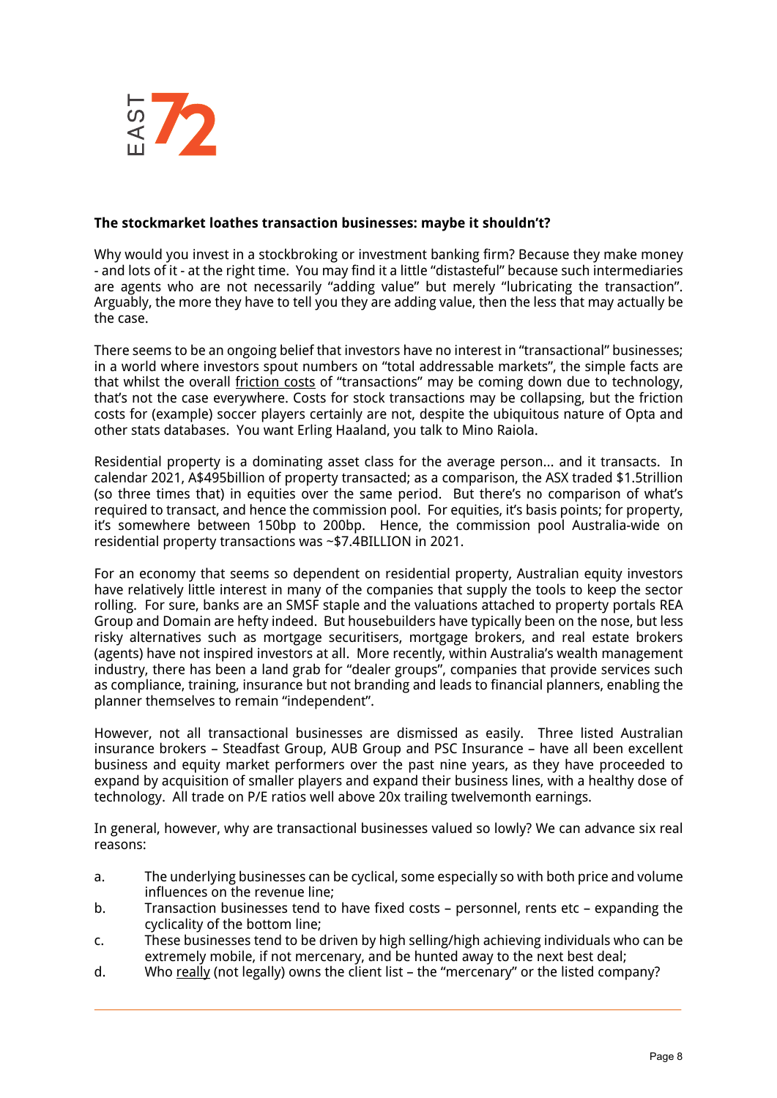

#### **The stockmarket loathes transaction businesses: maybe it shouldn't?**

Why would you invest in a stockbroking or investment banking firm? Because they make money - and lots of it - at the right time. You may find it a little "distasteful" because such intermediaries are agents who are not necessarily "adding value" but merely "lubricating the transaction". Arguably, the more they have to tell you they are adding value, then the less that may actually be the case.

There seems to be an ongoing belief that investors have no interest in "transactional" businesses; in a world where investors spout numbers on "total addressable markets", the simple facts are that whilst the overall friction costs of "transactions" may be coming down due to technology, that's not the case everywhere. Costs for stock transactions may be collapsing, but the friction costs for (example) soccer players certainly are not, despite the ubiquitous nature of Opta and other stats databases. You want Erling Haaland, you talk to Mino Raiola.

Residential property is a dominating asset class for the average person… and it transacts. In calendar 2021, A\$495billion of property transacted; as a comparison, the ASX traded \$1.5trillion (so three times that) in equities over the same period. But there's no comparison of what's required to transact, and hence the commission pool. For equities, it's basis points; for property, it's somewhere between 150bp to 200bp. Hence, the commission pool Australia-wide on residential property transactions was ~\$7.4BILLION in 2021.

For an economy that seems so dependent on residential property, Australian equity investors have relatively little interest in many of the companies that supply the tools to keep the sector rolling. For sure, banks are an SMSF staple and the valuations attached to property portals REA Group and Domain are hefty indeed. But housebuilders have typically been on the nose, but less risky alternatives such as mortgage securitisers, mortgage brokers, and real estate brokers (agents) have not inspired investors at all. More recently, within Australia's wealth management industry, there has been a land grab for "dealer groups", companies that provide services such as compliance, training, insurance but not branding and leads to financial planners, enabling the planner themselves to remain "independent".

However, not all transactional businesses are dismissed as easily. Three listed Australian insurance brokers – Steadfast Group, AUB Group and PSC Insurance – have all been excellent business and equity market performers over the past nine years, as they have proceeded to expand by acquisition of smaller players and expand their business lines, with a healthy dose of technology. All trade on P/E ratios well above 20x trailing twelvemonth earnings.

In general, however, why are transactional businesses valued so lowly? We can advance six real reasons:

- a. The underlying businesses can be cyclical, some especially so with both price and volume influences on the revenue line;
- b. Transaction businesses tend to have fixed costs personnel, rents etc expanding the cyclicality of the bottom line;
- c. These businesses tend to be driven by high selling/high achieving individuals who can be extremely mobile, if not mercenary, and be hunted away to the next best deal;
- d. Who really (not legally) owns the client list the "mercenary" or the listed company?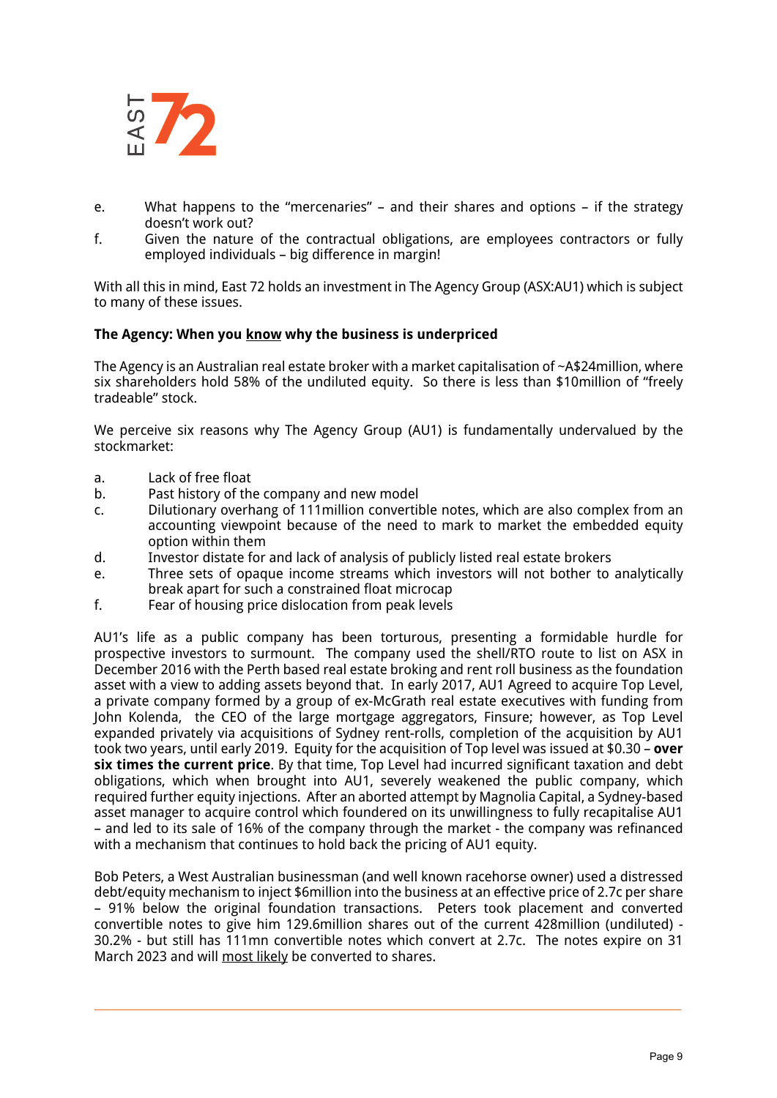

- e. What happens to the "mercenaries" and their shares and options if the strategy doesn't work out?
- f. Given the nature of the contractual obligations, are employees contractors or fully employed individuals – big difference in margin!

With all this in mind, East 72 holds an investment in The Agency Group (ASX:AU1) which is subject to many of these issues.

#### **The Agency: When you know why the business is underpriced**

The Agency is an Australian real estate broker with a market capitalisation of ~A\$24million, where six shareholders hold 58% of the undiluted equity. So there is less than \$10million of "freely tradeable" stock.

We perceive six reasons why The Agency Group (AU1) is fundamentally undervalued by the stockmarket:

- a. Lack of free float
- b. Past history of the company and new model
- c. Dilutionary overhang of 111million convertible notes, which are also complex from an accounting viewpoint because of the need to mark to market the embedded equity option within them
- d. Investor distate for and lack of analysis of publicly listed real estate brokers
- e. Three sets of opaque income streams which investors will not bother to analytically break apart for such a constrained float microcap
- f. Fear of housing price dislocation from peak levels

AU1's life as a public company has been torturous, presenting a formidable hurdle for prospective investors to surmount. The company used the shell/RTO route to list on ASX in December 2016 with the Perth based real estate broking and rent roll business as the foundation asset with a view to adding assets beyond that. In early 2017, AU1 Agreed to acquire Top Level, a private company formed by a group of ex-McGrath real estate executives with funding from John Kolenda, the CEO of the large mortgage aggregators, Finsure; however, as Top Level expanded privately via acquisitions of Sydney rent-rolls, completion of the acquisition by AU1 took two years, until early 2019. Equity for the acquisition of Top level was issued at \$0.30 – **over six times the current price**. By that time, Top Level had incurred significant taxation and debt obligations, which when brought into AU1, severely weakened the public company, which required further equity injections. After an aborted attempt by Magnolia Capital, a Sydney-based asset manager to acquire control which foundered on its unwillingness to fully recapitalise AU1 – and led to its sale of 16% of the company through the market - the company was refinanced with a mechanism that continues to hold back the pricing of AU1 equity.

Bob Peters, a West Australian businessman (and well known racehorse owner) used a distressed debt/equity mechanism to inject \$6million into the business at an effective price of 2.7c per share – 91% below the original foundation transactions. Peters took placement and converted convertible notes to give him 129.6million shares out of the current 428million (undiluted) - 30.2% - but still has 111mn convertible notes which convert at 2.7c. The notes expire on 31 March 2023 and will most likely be converted to shares.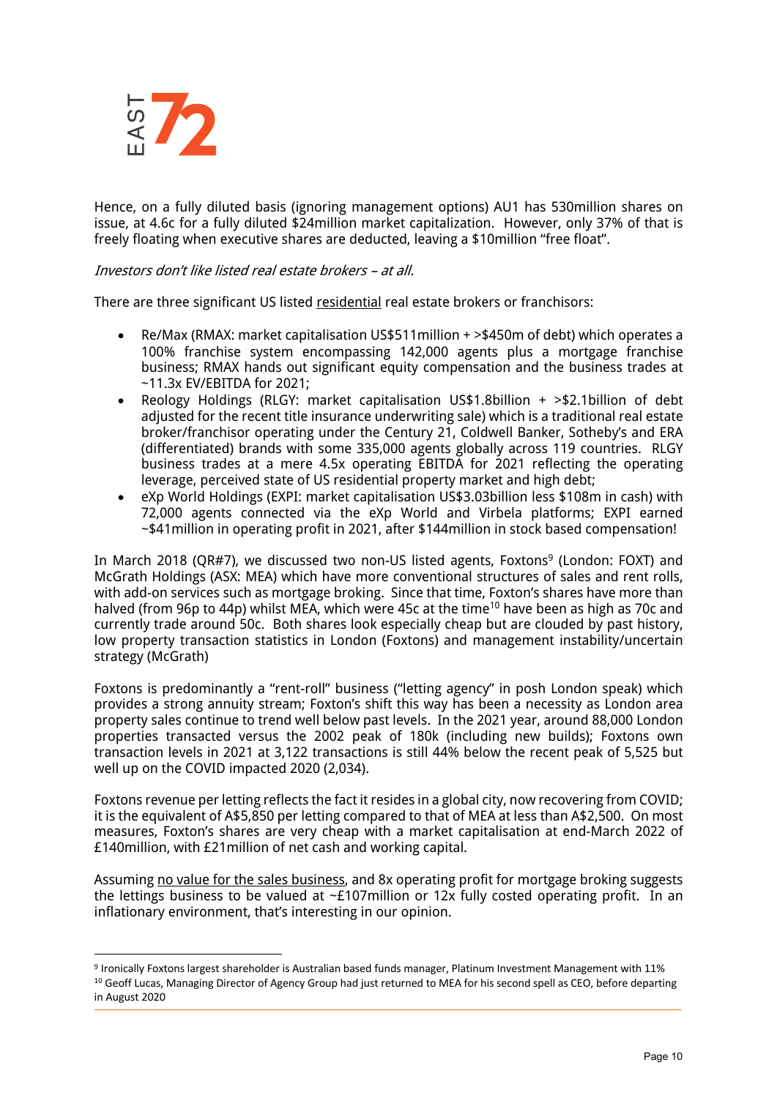

Hence, on a fully diluted basis (ignoring management options) AU1 has 530million shares on issue, at 4.6c for a fully diluted \$24million market capitalization. However, only 37% of that is freely floating when executive shares are deducted, leaving a \$10million "free float".

## Investors don't like listed real estate brokers – at all.

There are three significant US listed residential real estate brokers or franchisors:

- Re/Max (RMAX: market capitalisation US\$511million + >\$450m of debt) which operates a 100% franchise system encompassing 142,000 agents plus a mortgage franchise business; RMAX hands out significant equity compensation and the business trades at ~11.3x EV/EBITDA for 2021;
- Reology Holdings (RLGY: market capitalisation US\$1.8billion + >\$2.1billion of debt adjusted for the recent title insurance underwriting sale) which is a traditional real estate broker/franchisor operating under the Century 21, Coldwell Banker, Sotheby's and ERA (differentiated) brands with some 335,000 agents globally across 119 countries. RLGY business trades at a mere 4.5x operating EBITDA for 2021 reflecting the operating leverage, perceived state of US residential property market and high debt;
- eXp World Holdings (EXPI: market capitalisation US\$3.03billion less \$108m in cash) with 72,000 agents connected via the eXp World and Virbela platforms; EXPI earned ~\$41million in operating profit in 2021, after \$144million in stock based compensation!

In March 2018 (QR#7), we discussed two non-US listed agents, Foxtons<sup>9</sup> (London: FOXT) and McGrath Holdings (ASX: MEA) which have more conventional structures of sales and rent rolls, with add-on services such as mortgage broking. Since that time, Foxton's shares have more than halved (from 96p to 44p) whilst MEA, which were 45c at the time<sup>10</sup> have been as high as 70c and currently trade around 50c. Both shares look especially cheap but are clouded by past history, low property transaction statistics in London (Foxtons) and management instability/uncertain strategy (McGrath)

Foxtons is predominantly a "rent-roll" business ("letting agency" in posh London speak) which provides a strong annuity stream; Foxton's shift this way has been a necessity as London area property sales continue to trend well below past levels. In the 2021 year, around 88,000 London properties transacted versus the 2002 peak of 180k (including new builds); Foxtons own transaction levels in 2021 at 3,122 transactions is still 44% below the recent peak of 5,525 but well up on the COVID impacted 2020 (2,034).

Foxtons revenue per letting reflects the fact it resides in a global city, now recovering from COVID; it is the equivalent of A\$5,850 per letting compared to that of MEA at less than A\$2,500. On most measures, Foxton's shares are very cheap with a market capitalisation at end-March 2022 of £140million, with £21million of net cash and working capital.

Assuming no value for the sales business, and 8x operating profit for mortgage broking suggests the lettings business to be valued at ~£107million or 12x fully costed operating profit. In an inflationary environment, that's interesting in our opinion.

<sup>9</sup> Ironically Foxtons largest shareholder is Australian based funds manager, Platinum Investment Management with 11% <sup>10</sup> Geoff Lucas, Managing Director of Agency Group had just returned to MEA for his second spell as CEO, before departing in August 2020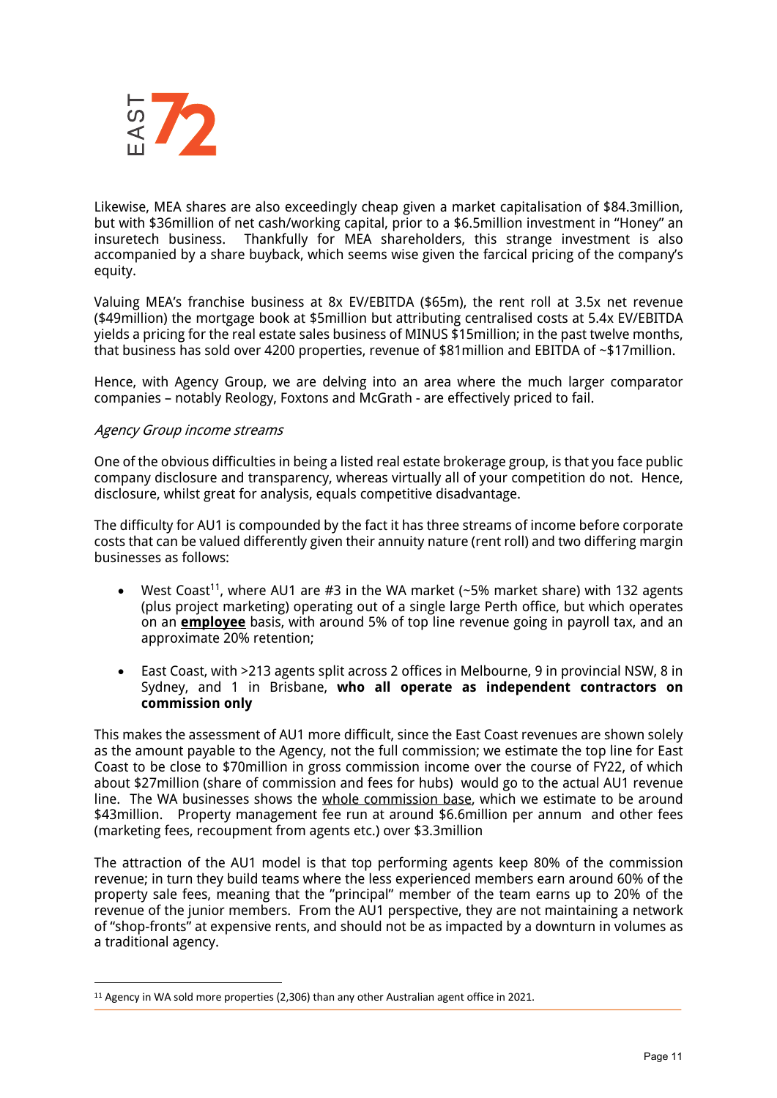

Likewise, MEA shares are also exceedingly cheap given a market capitalisation of \$84.3million, but with \$36million of net cash/working capital, prior to a \$6.5million investment in "Honey" an insuretech business. Thankfully for MEA shareholders, this strange investment is also accompanied by a share buyback, which seems wise given the farcical pricing of the company's equity.

Valuing MEA's franchise business at 8x EV/EBITDA (\$65m), the rent roll at 3.5x net revenue (\$49million) the mortgage book at \$5million but attributing centralised costs at 5.4x EV/EBITDA yields a pricing for the real estate sales business of MINUS \$15million; in the past twelve months, that business has sold over 4200 properties, revenue of \$81million and EBITDA of ~\$17million.

Hence, with Agency Group, we are delving into an area where the much larger comparator companies – notably Reology, Foxtons and McGrath - are effectively priced to fail.

#### Agency Group income streams

One of the obvious difficulties in being a listed real estate brokerage group, is that you face public company disclosure and transparency, whereas virtually all of your competition do not. Hence, disclosure, whilst great for analysis, equals competitive disadvantage.

The difficulty for AU1 is compounded by the fact it has three streams of income before corporate costs that can be valued differently given their annuity nature (rent roll) and two differing margin businesses as follows:

- West Coast<sup>11</sup>, where AU1 are #3 in the WA market  $($ ~5% market share) with 132 agents (plus project marketing) operating out of a single large Perth office, but which operates on an **employee** basis, with around 5% of top line revenue going in payroll tax, and an approximate 20% retention;
- East Coast, with >213 agents split across 2 offices in Melbourne, 9 in provincial NSW, 8 in Sydney, and 1 in Brisbane, **who all operate as independent contractors on commission only**

This makes the assessment of AU1 more difficult, since the East Coast revenues are shown solely as the amount payable to the Agency, not the full commission; we estimate the top line for East Coast to be close to \$70million in gross commission income over the course of FY22, of which about \$27million (share of commission and fees for hubs) would go to the actual AU1 revenue line. The WA businesses shows the whole commission base, which we estimate to be around \$43million. Property management fee run at around \$6.6million per annum and other fees (marketing fees, recoupment from agents etc.) over \$3.3million

The attraction of the AU1 model is that top performing agents keep 80% of the commission revenue; in turn they build teams where the less experienced members earn around 60% of the property sale fees, meaning that the "principal" member of the team earns up to 20% of the revenue of the junior members. From the AU1 perspective, they are not maintaining a network of "shop-fronts" at expensive rents, and should not be as impacted by a downturn in volumes as a traditional agency.

<sup>&</sup>lt;sup>11</sup> Agency in WA sold more properties (2,306) than any other Australian agent office in 2021.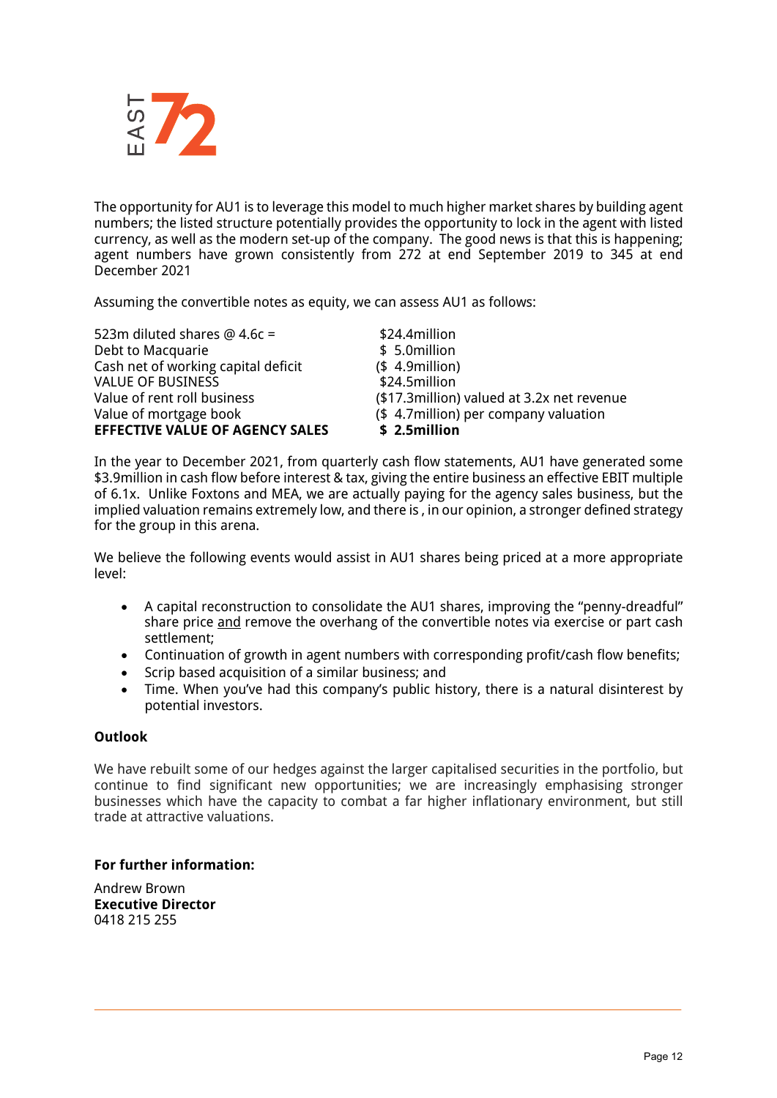

The opportunity for AU1 is to leverage this model to much higher market shares by building agent numbers; the listed structure potentially provides the opportunity to lock in the agent with listed currency, as well as the modern set-up of the company. The good news is that this is happening; agent numbers have grown consistently from 272 at end September 2019 to 345 at end December 2021

Assuming the convertible notes as equity, we can assess AU1 as follows:

| 523m diluted shares $@$ 4.6c =         | \$24.4million                               |
|----------------------------------------|---------------------------------------------|
| Debt to Macquarie                      | \$ 5.0million                               |
| Cash net of working capital deficit    | $$4.9$ million)                             |
| <b>VALUE OF BUSINESS</b>               | \$24.5million                               |
| Value of rent roll business            | (\$17.3 million) valued at 3.2x net revenue |
| Value of mortgage book                 | (\$4.7 million) per company valuation       |
| <b>EFFECTIVE VALUE OF AGENCY SALES</b> | \$2.5million                                |

In the year to December 2021, from quarterly cash flow statements, AU1 have generated some \$3.9million in cash flow before interest & tax, giving the entire business an effective EBIT multiple of 6.1x. Unlike Foxtons and MEA, we are actually paying for the agency sales business, but the implied valuation remains extremely low, and there is , in our opinion, a stronger defined strategy for the group in this arena.

We believe the following events would assist in AU1 shares being priced at a more appropriate level:

- A capital reconstruction to consolidate the AU1 shares, improving the "penny-dreadful" share price and remove the overhang of the convertible notes via exercise or part cash settlement;
- Continuation of growth in agent numbers with corresponding profit/cash flow benefits;
- Scrip based acquisition of a similar business; and
- Time. When you've had this company's public history, there is a natural disinterest by potential investors.

## **Outlook**

We have rebuilt some of our hedges against the larger capitalised securities in the portfolio, but continue to find significant new opportunities; we are increasingly emphasising stronger businesses which have the capacity to combat a far higher inflationary environment, but still trade at attractive valuations.

#### **For further information:**

Andrew Brown **Executive Director** 0418 215 255